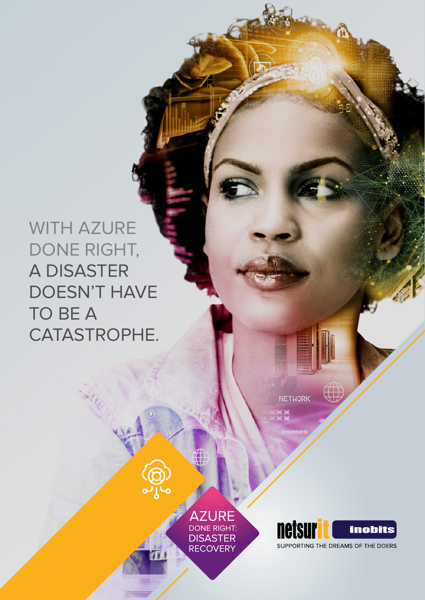WITH AZURE DONE RIGHT, A DISASTER DOESN'T HAVE TO BE A CATASTROPHE.

**NETWORK** 

AZURE DONE RIGHT: **DISASTER RECOVERY** 

(@)<br>പീ<sub>റ</sub>



∰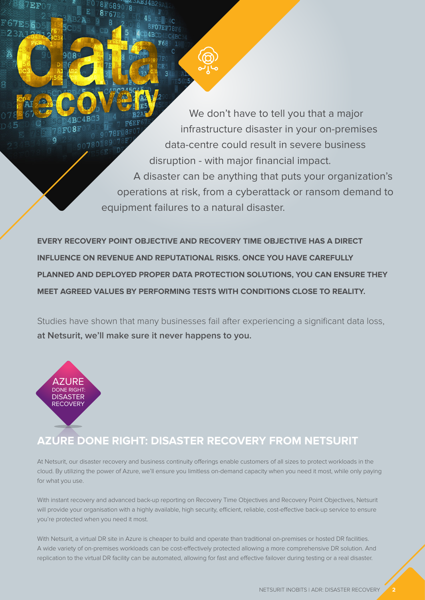We don't have to tell you that a major infrastructure disaster in your on-premises data-centre could result in severe business disruption - with major financial impact. A disaster can be anything that puts your organization's operations at risk, from a cyberattack or ransom demand to equipment failures to a natural disaster.

**EVERY RECOVERY POINT OBJECTIVE AND RECOVERY TIME OBJECTIVE HAS A DIRECT INFLUENCE ON REVENUE AND REPUTATIONAL RISKS. ONCE YOU HAVE CAREFULLY PLANNED AND DEPLOYED PROPER DATA PROTECTION SOLUTIONS, YOU CAN ENSURE THEY MEET AGREED VALUES BY PERFORMING TESTS WITH CONDITIONS CLOSE TO REALITY.** 

Studies have shown that many businesses fail after experiencing a significant data loss, **at Netsurit, we'll make sure it never happens to you.**

# AZURE DONE RIGHT: **DISASTER RECOVERY**

FO8F

ö

ä

## AZURE DONE RIGHT: DISASTER RECOVERY FROM NETSURIT

At Netsurit, our disaster recovery and business continuity offerings enable customers of all sizes to protect workloads in the cloud. By utilizing the power of Azure, we'll ensure you limitless on-demand capacity when you need it most, while only paying for what you use.

With instant recovery and advanced back-up reporting on Recovery Time Objectives and Recovery Point Objectives, Netsurit will provide your organisation with a highly available, high security, efficient, reliable, cost-effective back-up service to ensure you're protected when you need it most.

With Netsurit, a virtual DR site in Azure is cheaper to build and operate than traditional on-premises or hosted DR facilities. A wide variety of on-premises workloads can be cost-effectively protected allowing a more comprehensive DR solution. And replication to the virtual DR facility can be automated, allowing for fast and effective failover during testing or a real disaster.